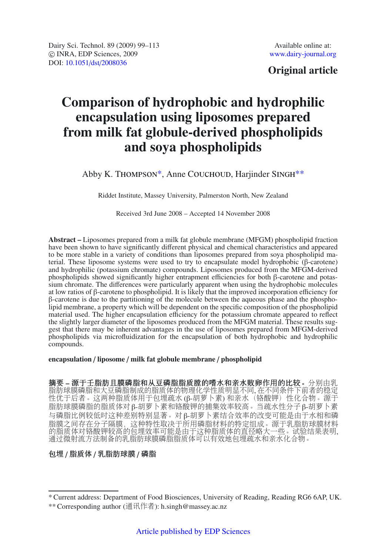# **Original article**

# **Comparison of hydrophobic and hydrophilic encapsulation using liposomes prepared from milk fat globule-derived phospholipids and soya phospholipids**

Abby K. Thompson\*, Anne Couchoud, Harjinder Singh\*\*

Riddet Institute, Massey University, Palmerston North, New Zealand

Received 3rd June 2008 – Accepted 14 November 2008

**Abstract –** Liposomes prepared from a milk fat globule membrane (MFGM) phospholipid fraction have been shown to have significantly different physical and chemical characteristics and appeared to be more stable in a variety of conditions than liposomes prepared from soya phospholipid material. These liposome systems were used to try to encapsulate model hydrophobic (β-carotene) and hydrophilic (potassium chromate) compounds. Liposomes produced from the MFGM-derived phospholipids showed significantly higher entrapment efficiencies for both β-carotene and potassium chromate. The differences were particularly apparent when using the hydrophobic molecules at low ratios of β-carotene to phospholipid. It is likely that the improved incorporation efficiency for β-carotene is due to the partitioning of the molecule between the aqueous phase and the phospholipid membrane, a property which will be dependent on the specific composition of the phospholipid material used. The higher encapsulation efficiency for the potassium chromate appeared to reflect the slightly larger diameter of the liposomes produced from the MFGM material. These results suggest that there may be inherent advantages in the use of liposomes prepared from MFGM-derived phospholipids via microfluidization for the encapsulation of both hydrophobic and hydrophilic compounds.

# **encapsulation** / **liposome** / **milk fat globule membrane** / **phospholipid**

摘要 **–** 源于壬脂肪且膜磷脂和从豆磷脂脂质膛的嗜水和亲水败卵作用的比较。分别由乳 脂肪球膜磷脂和大豆磷脂制成的脂质体的物理化学性质明显不同, 在不同条件下前者的稳定 性优于后者。这两种脂质体用于包埋疏水 (β-胡萝卜素) 和亲水(铬酸钾)性化合物。源于 脂肪球膜磷脂的脂质体对 β-胡萝卜素和铬酸钾的捕集效率较高。当疏水性分子 β-胡萝卜素 与磷脂比例较低时这种差别特别显著。对 β-胡萝卜素结合效率的改变可能是由于水相和磷 脂膜之间存在分子隔膜,这种特性取决于所用磷脂材料的特定组成。源于乳脂肪球膜材料 的脂质体对铬酸钾较高的包埋效率可能是由于这种脂质体的直径略大一些。试验结果表明, 通过微射流方法制备的乳脂肪球膜磷脂脂质体可以有效地包埋疏水和亲水化合物。

# 包埋 / 脂质体 / 乳脂肪球膜 / 磷脂

<sup>\*</sup> Current address: Department of Food Biosciences, University of Reading, Reading RG6 6AP, UK.

<sup>\*\*</sup> Corresponding author (通讯作者): h.singh@massey.ac.nz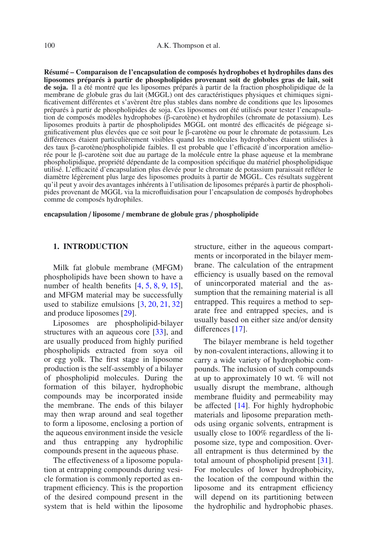**Résumé – Comparaison de l'encapsulation de composés hydrophobes et hydrophiles dans des liposomes préparés à partir de phospholipides provenant soit de globules gras de lait, soit de soja.** Il a été montré que les liposomes préparés à partir de la fraction phospholipidique de la membrane de globule gras du lait (MGGL) ont des caractéristiques physiques et chimiques significativement différentes et s'avèrent être plus stables dans nombre de conditions que les liposomes préparés à partir de phospholipides de soja. Ces liposomes ont été utilisés pour tester l'encapsulation de composés modèles hydrophobes (β-carotène) et hydrophiles (chromate de potassium). Les liposomes produits à partir de phospholipides MGGL ont montré des efficacités de piégeage significativement plus élevées que ce soit pour le β-carotène ou pour le chromate de potassium. Les différences étaient particulièrement visibles quand les molécules hydrophobes étaient utilisées à des taux β-carotène/phospholipide faibles. Il est probable que l'efficacité d'incorporation améliorée pour le β-carotène soit due au partage de la molécule entre la phase aqueuse et la membrane phospholipidique, propriété dépendante de la composition spécifique du matériel phospholipidique utilisé. L'efficacité d'encapsulation plus élevée pour le chromate de potassium paraissait refléter le diamètre légèrement plus large des liposomes produits à partir de MGGL. Ces résultats suggèrent qu'il peut y avoir des avantages inhérents à l'utilisation de liposomes préparés à partir de phospholipides provenant de MGGL via la microfluidisation pour l'encapsulation de composés hydrophobes comme de composés hydrophiles.

**encapsulation** / **liposome** / **membrane de globule gras** / **phospholipide**

### **1. INTRODUCTION**

Milk fat globule membrane (MFGM) phospholipids have been shown to have a number of health benefits [\[4](#page-13-0), [5](#page-13-1), [8](#page-13-2), [9](#page-13-3), [15](#page-13-4)], and MFGM material may be successfully used to stabilize emulsions [\[3,](#page-13-5) [20,](#page-14-0) [21](#page-14-1), [32\]](#page-14-2) and produce liposomes [\[29\]](#page-14-3).

Liposomes are phospholipid-bilayer structures with an aqueous core [\[33](#page-14-4)], and are usually produced from highly purified phospholipids extracted from soya oil or egg yolk. The first stage in liposome production is the self-assembly of a bilayer of phospholipid molecules. During the formation of this bilayer, hydrophobic compounds may be incorporated inside the membrane. The ends of this bilayer may then wrap around and seal together to form a liposome, enclosing a portion of the aqueous environment inside the vesicle and thus entrapping any hydrophilic compounds present in the aqueous phase.

The effectiveness of a liposome population at entrapping compounds during vesicle formation is commonly reported as entrapment efficiency. This is the proportion of the desired compound present in the system that is held within the liposome structure, either in the aqueous compartments or incorporated in the bilayer membrane. The calculation of the entrapment efficiency is usually based on the removal of unincorporated material and the assumption that the remaining material is all entrapped. This requires a method to separate free and entrapped species, and is usually based on either size and/or density differences [\[17\]](#page-13-6).

The bilayer membrane is held together by non-covalent interactions, allowing it to carry a wide variety of hydrophobic compounds. The inclusion of such compounds at up to approximately 10 wt. % will not usually disrupt the membrane, although membrane fluidity and permeability may be affected [\[14\]](#page-13-7). For highly hydrophobic materials and liposome preparation methods using organic solvents, entrapment is usually close to 100% regardless of the liposome size, type and composition. Overall entrapment is thus determined by the total amount of phospholipid present [\[31\]](#page-14-5). For molecules of lower hydrophobicity, the location of the compound within the liposome and its entrapment efficiency will depend on its partitioning between the hydrophilic and hydrophobic phases.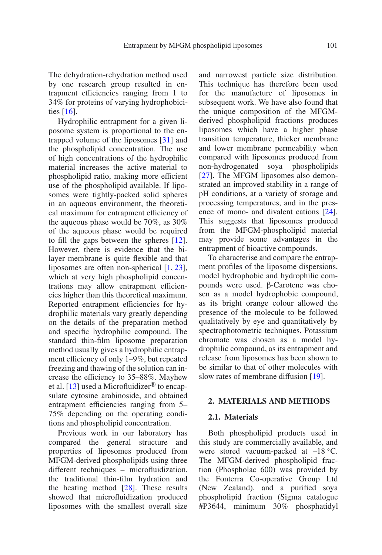The dehydration-rehydration method used by one research group resulted in entrapment efficiencies ranging from 1 to 34% for proteins of varying hydrophobicities [\[16](#page-13-8)].

Hydrophilic entrapment for a given liposome system is proportional to the entrapped volume of the liposomes [\[31\]](#page-14-5) and the phospholipid concentration. The use of high concentrations of the hydrophilic material increases the active material to phospholipid ratio, making more efficient use of the phospholipid available. If liposomes were tightly-packed solid spheres in an aqueous environment, the theoretical maximum for entrapment efficiency of the aqueous phase would be 70%, as 30% of the aqueous phase would be required to fill the gaps between the spheres [\[12\]](#page-13-9). However, there is evidence that the bilayer membrane is quite flexible and that liposomes are often non-spherical [\[1](#page-13-10), [23\]](#page-14-6), which at very high phospholipid concentrations may allow entrapment efficiencies higher than this theoretical maximum. Reported entrapment efficiencies for hydrophilic materials vary greatly depending on the details of the preparation method and specific hydrophilic compound. The standard thin-film liposome preparation method usually gives a hydrophilic entrapment efficiency of only 1–9%, but repeated freezing and thawing of the solution can increase the efficiency to 35–88%. Mayhew et al. [\[13](#page-13-11)] used a Microfluidizer $^{\circledR}$  to encapsulate cytosine arabinoside, and obtained entrapment efficiencies ranging from 5– 75% depending on the operating conditions and phospholipid concentration.

Previous work in our laboratory has compared the general structure and properties of liposomes produced from MFGM-derived phospholipids using three different techniques – microfluidization, the traditional thin-film hydration and the heating method  $[28]$  $[28]$ . These results showed that microfluidization produced liposomes with the smallest overall size and narrowest particle size distribution. This technique has therefore been used for the manufacture of liposomes in subsequent work. We have also found that the unique composition of the MFGMderived phospholipid fractions produces liposomes which have a higher phase transition temperature, thicker membrane and lower membrane permeability when compared with liposomes produced from non-hydrogenated soya phospholipids [\[27](#page-14-8)]. The MFGM liposomes also demonstrated an improved stability in a range of pH conditions, at a variety of storage and processing temperatures, and in the presence of mono- and divalent cations [\[24\]](#page-14-9). This suggests that liposomes produced from the MFGM-phospholipid material may provide some advantages in the entrapment of bioactive compounds.

To characterise and compare the entrapment profiles of the liposome dispersions, model hydrophobic and hydrophilic compounds were used. β-Carotene was chosen as a model hydrophobic compound, as its bright orange colour allowed the presence of the molecule to be followed qualitatively by eye and quantitatively by spectrophotometric techniques. Potassium chromate was chosen as a model hydrophilic compound, as its entrapment and release from liposomes has been shown to be similar to that of other molecules with slow rates of membrane diffusion [\[19\]](#page-14-10).

#### **2. MATERIALS AND METHODS**

# **2.1. Materials**

Both phospholipid products used in this study are commercially available, and were stored vacuum-packed at –18 ◦C. The MFGM-derived phospholipid fraction (Phospholac 600) was provided by the Fonterra Co-operative Group Ltd (New Zealand), and a purified soya phospholipid fraction (Sigma catalogue #P3644, minimum 30% phosphatidyl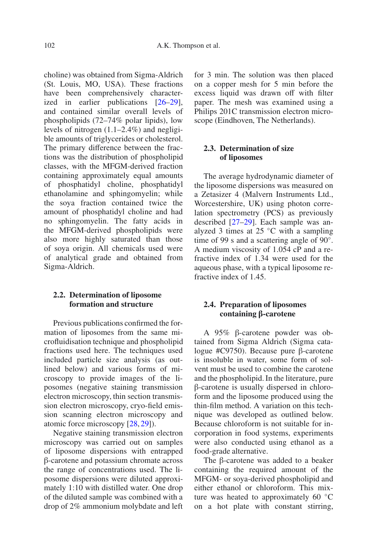choline) was obtained from Sigma-Aldrich (St. Louis, MO, USA). These fractions have been comprehensively characterized in earlier publications [\[26](#page-14-11)[–29](#page-14-3)], and contained similar overall levels of phospholipids (72–74% polar lipids), low levels of nitrogen (1.1–2.4%) and negligible amounts of triglycerides or cholesterol. The primary difference between the fractions was the distribution of phospholipid classes, with the MFGM-derived fraction containing approximately equal amounts of phosphatidyl choline, phosphatidyl ethanolamine and sphingomyelin; while the soya fraction contained twice the amount of phosphatidyl choline and had no sphingomyelin. The fatty acids in the MFGM-derived phospholipids were also more highly saturated than those of soya origin. All chemicals used were of analytical grade and obtained from Sigma-Aldrich.

# **2.2. Determination of liposome formation and structure**

Previous publications confirmed the formation of liposomes from the same microfluidisation technique and phospholipid fractions used here. The techniques used included particle size analysis (as outlined below) and various forms of microscopy to provide images of the liposomes (negative staining transmission electron microscopy, thin section transmission electron microscopy, cryo-field emission scanning electron microscopy and atomic force microscopy [\[28,](#page-14-7) [29\]](#page-14-3)).

Negative staining transmission electron microscopy was carried out on samples of liposome dispersions with entrapped β-carotene and potassium chromate across the range of concentrations used. The liposome dispersions were diluted approximately 1:10 with distilled water. One drop of the diluted sample was combined with a drop of 2% ammonium molybdate and left for 3 min. The solution was then placed on a copper mesh for 5 min before the excess liquid was drawn off with filter paper. The mesh was examined using a Philips 201C transmission electron microscope (Eindhoven, The Netherlands).

# **2.3. Determination of size of liposomes**

The average hydrodynamic diameter of the liposome dispersions was measured on a Zetasizer 4 (Malvern Instruments Ltd., Worcestershire, UK) using photon correlation spectrometry (PCS) as previously described [\[27](#page-14-8)[–29\]](#page-14-3). Each sample was analyzed 3 times at  $25^{\circ}$ C with a sampling time of 99 s and a scattering angle of 90◦. A medium viscosity of 1.054 cP and a refractive index of 1.34 were used for the aqueous phase, with a typical liposome refractive index of 1.45.

# **2.4. Preparation of liposomes containing** β**-carotene**

A 95% β-carotene powder was obtained from Sigma Aldrich (Sigma catalogue #C9750). Because pure β-carotene is insoluble in water, some form of solvent must be used to combine the carotene and the phospholipid. In the literature, pure β-carotene is usually dispersed in chloroform and the liposome produced using the thin-film method. A variation on this technique was developed as outlined below. Because chloroform is not suitable for incorporation in food systems, experiments were also conducted using ethanol as a food-grade alternative.

The β-carotene was added to a beaker containing the required amount of the MFGM- or soya-derived phospholipid and either ethanol or chloroform. This mixture was heated to approximately 60 ◦C on a hot plate with constant stirring,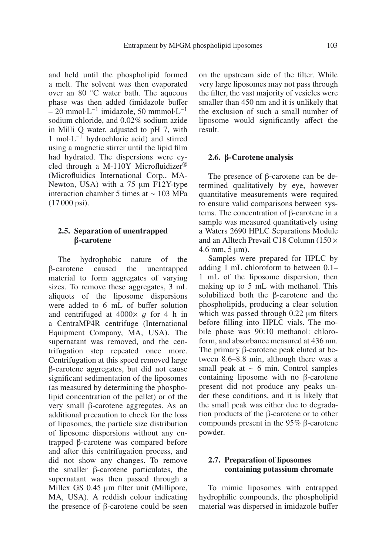and held until the phospholipid formed a melt. The solvent was then evaporated over an 80 ◦C water bath. The aqueous phase was then added (imidazole buffer  $-$  20 mmol⋅L<sup>-1</sup> imidazole, 50 mmmol⋅L<sup>-1</sup> sodium chloride, and 0.02% sodium azide in Milli Q water, adjusted to pH 7, with 1 mol·L−<sup>1</sup> hydrochloric acid) and stirred using a magnetic stirrer until the lipid film had hydrated. The dispersions were cycled through a M-110Y Microfluidizer® (Microfluidics International Corp., MA-Newton, USA) with a 75 μm F12Y-type interaction chamber 5 times at ∼ 103 MPa (17 000 psi).

# **2.5. Separation of unentrapped** β**-carotene**

The hydrophobic nature of the β-carotene caused the unentrapped material to form aggregates of varying sizes. To remove these aggregates, 3 mL aliquots of the liposome dispersions were added to 6 mL of buffer solution and centrifuged at  $4000 \times q$  for 4 h in a CentraMP4R centrifuge (International Equipment Company, MA, USA). The supernatant was removed, and the centrifugation step repeated once more. Centrifugation at this speed removed large β-carotene aggregates, but did not cause significant sedimentation of the liposomes (as measured by determining the phospholipid concentration of the pellet) or of the very small β-carotene aggregates. As an additional precaution to check for the loss of liposomes, the particle size distribution of liposome dispersions without any entrapped β-carotene was compared before and after this centrifugation process, and did not show any changes. To remove the smaller β-carotene particulates, the supernatant was then passed through a Millex GS 0.45 μm filter unit (Millipore, MA, USA). A reddish colour indicating the presence of β-carotene could be seen on the upstream side of the filter. While very large liposomes may not pass through the filter, the vast majority of vesicles were smaller than 450 nm and it is unlikely that the exclusion of such a small number of liposome would significantly affect the result.

#### **2.6.** β**-Carotene analysis**

The presence of β-carotene can be determined qualitatively by eye, however quantitative measurements were required to ensure valid comparisons between systems. The concentration of β-carotene in a sample was measured quantitatively using a Waters 2690 HPLC Separations Module and an Alltech Prevail C18 Column (150× <sup>4</sup>.6 mm, 5 <sup>μ</sup>m).

Samples were prepared for HPLC by adding 1 mL chloroform to between 0.1– 1 mL of the liposome dispersion, then making up to 5 mL with methanol. This solubilized both the β-carotene and the phospholipids, producing a clear solution which was passed through 0.22 μm filters before filling into HPLC vials. The mobile phase was 90:10 methanol: chloroform, and absorbance measured at 436 nm. The primary β-carotene peak eluted at between 8.6–8.8 min, although there was a small peak at ∼ 6 min. Control samples containing liposome with no β-carotene present did not produce any peaks under these conditions, and it is likely that the small peak was either due to degradation products of the β-carotene or to other compounds present in the 95% β-carotene powder.

#### **2.7. Preparation of liposomes containing potassium chromate**

To mimic liposomes with entrapped hydrophilic compounds, the phospholipid material was dispersed in imidazole buffer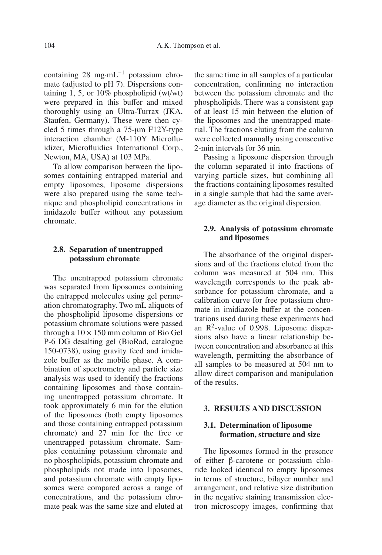containing 28 mg·mL−<sup>1</sup> potassium chromate (adjusted to pH 7). Dispersions containing 1, 5, or  $10\%$  phospholipid (wt/wt) were prepared in this buffer and mixed thoroughly using an Ultra-Turrax (JKA, Staufen, Germany). These were then cycled 5 times through a 75-μm F12Y-type interaction chamber (M-110Y Microfluidizer, Microfluidics International Corp., Newton, MA, USA) at 103 MPa.

To allow comparison between the liposomes containing entrapped material and empty liposomes, liposome dispersions were also prepared using the same technique and phospholipid concentrations in imidazole buffer without any potassium chromate.

# **2.8. Separation of unentrapped potassium chromate**

The unentrapped potassium chromate was separated from liposomes containing the entrapped molecules using gel permeation chromatography. Two mL aliquots of the phospholipid liposome dispersions or potassium chromate solutions were passed through a  $10 \times 150$  mm column of Bio Gel P-6 DG desalting gel (BioRad, catalogue 150-0738), using gravity feed and imidazole buffer as the mobile phase. A combination of spectrometry and particle size analysis was used to identify the fractions containing liposomes and those containing unentrapped potassium chromate. It took approximately 6 min for the elution of the liposomes (both empty liposomes and those containing entrapped potassium chromate) and 27 min for the free or unentrapped potassium chromate. Samples containing potassium chromate and no phospholipids, potassium chromate and phospholipids not made into liposomes, and potassium chromate with empty liposomes were compared across a range of concentrations, and the potassium chromate peak was the same size and eluted at the same time in all samples of a particular concentration, confirming no interaction between the potassium chromate and the phospholipids. There was a consistent gap of at least 15 min between the elution of the liposomes and the unentrapped material. The fractions eluting from the column were collected manually using consecutive 2-min intervals for 36 min.

Passing a liposome dispersion through the column separated it into fractions of varying particle sizes, but combining all the fractions containing liposomes resulted in a single sample that had the same average diameter as the original dispersion.

# **2.9. Analysis of potassium chromate and liposomes**

The absorbance of the original dispersions and of the fractions eluted from the column was measured at 504 nm. This wavelength corresponds to the peak absorbance for potassium chromate, and a calibration curve for free potassium chromate in imidiazole buffer at the concentrations used during these experiments had an  $\mathbb{R}^2$ -value of 0.998. Liposome dispersions also have a linear relationship between concentration and absorbance at this wavelength, permitting the absorbance of all samples to be measured at 504 nm to allow direct comparison and manipulation of the results.

#### **3. RESULTS AND DISCUSSION**

# **3.1. Determination of liposome formation, structure and size**

The liposomes formed in the presence of either β-carotene or potassium chloride looked identical to empty liposomes in terms of structure, bilayer number and arrangement, and relative size distribution in the negative staining transmission electron microscopy images, confirming that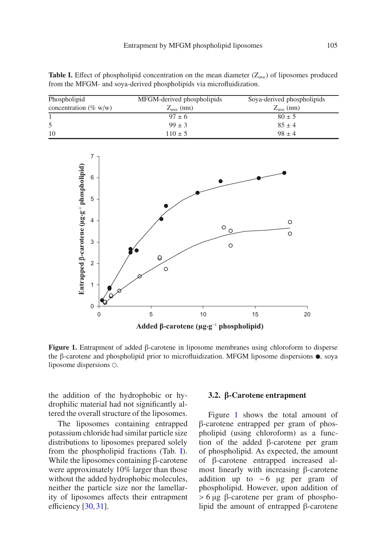<span id="page-6-0"></span>

|  | <b>Table I.</b> Effect of phospholipid concentration on the mean diameter $(Z_{ave})$ of liposomes produced |  |  |  |  |  |
|--|-------------------------------------------------------------------------------------------------------------|--|--|--|--|--|
|  | from the MFGM- and soya-derived phospholipids via microfluidization.                                        |  |  |  |  |  |

| Phospholipid             | MFGM-derived phospholipids | Soya-derived phospholipids |
|--------------------------|----------------------------|----------------------------|
| concentration (% $w/w$ ) | $Z_{\text{ave}}$ (nm)      | $Zave$ (nm)                |
|                          | $97 \pm 6$                 | $80 \pm 5$                 |
| .5                       | $99 \pm 3$                 | $85 \pm 4$                 |
| 10                       | $110 \pm 5$                | $98 \pm 4$                 |

<span id="page-6-1"></span>

**Figure 1.** Entrapment of added β-carotene in liposome membranes using chloroform to disperse the  $\beta$ -carotene and phospholipid prior to microfluidization. MFGM liposome dispersions  $\bullet$ , soya liposome dispersions  $\circ$ .

the addition of the hydrophobic or hydrophilic material had not significantly altered the overall structure of the liposomes.

The liposomes containing entrapped potassium chloride had similar particle size distributions to liposomes prepared solely from the phospholipid fractions (Tab. [I\)](#page-6-0). While the liposomes containing β-carotene were approximately 10% larger than those without the added hydrophobic molecules, neither the particle size nor the lamellarity of liposomes affects their entrapment efficiency [\[30,](#page-14-12) [31\]](#page-14-5).

#### **3.2.** β**-Carotene entrapment**

Figure [1](#page-6-1) shows the total amount of β-carotene entrapped per gram of phospholipid (using chloroform) as a function of the added β-carotene per gram of phospholipid. As expected, the amount of β-carotene entrapped increased almost linearly with increasing β-carotene addition up to  $~\sim 6$  μg per gram of phospholipid. However, upon addition of  $> 6 \mu$ g β-carotene per gram of phospholipid the amount of entrapped β-carotene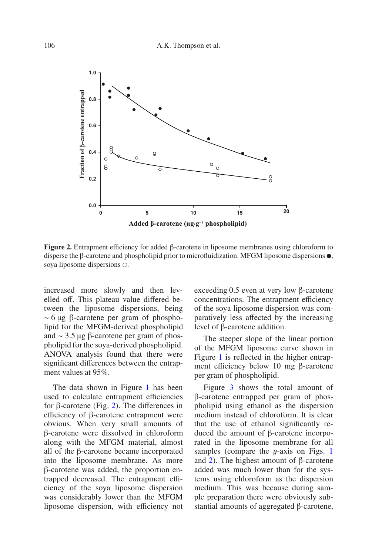<span id="page-7-0"></span>

**Figure 2.** Entrapment efficiency for added β-carotene in liposome membranes using chloroform to disperse the  $\beta$ -carotene and phospholipid prior to microfluidization. MFGM liposome dispersions  $\bullet$ , soya liposome dispersions  $\circ$ .

increased more slowly and then levelled off. This plateau value differed between the liposome dispersions, being ∼ 6 μg β-carotene per gram of phospholipid for the MFGM-derived phospholipid and ∼ 3.5 μg β-carotene per gram of phospholipid for the soya-derived phospholipid. ANOVA analysis found that there were significant differences between the entrapment values at 95%.

The data shown in Figure [1](#page-6-1) has been used to calculate entrapment efficiencies for β-carotene (Fig. [2\)](#page-7-0). The differences in efficiency of β-carotene entrapment were obvious. When very small amounts of β-carotene were dissolved in chloroform along with the MFGM material, almost all of the β-carotene became incorporated into the liposome membrane. As more β-carotene was added, the proportion entrapped decreased. The entrapment efficiency of the soya liposome dispersion was considerably lower than the MFGM liposome dispersion, with efficiency not exceeding 0.5 even at very low β-carotene concentrations. The entrapment efficiency of the soya liposome dispersion was comparatively less affected by the increasing level of β-carotene addition.

The steeper slope of the linear portion of the MFGM liposome curve shown in Figure [1](#page-6-1) is reflected in the higher entrapment efficiency below 10 mg β-carotene per gram of phospholipid.

Figure [3](#page-8-0) shows the total amount of β-carotene entrapped per gram of phospholipid using ethanol as the dispersion medium instead of chloroform. It is clear that the use of ethanol significantly reduced the amount of β-carotene incorporated in the liposome membrane for all samples (compare the  $y$ -axis on Figs. [1](#page-6-1) and [2\)](#page-7-0). The highest amount of β-carotene added was much lower than for the systems using chloroform as the dispersion medium. This was because during sample preparation there were obviously substantial amounts of aggregated β-carotene,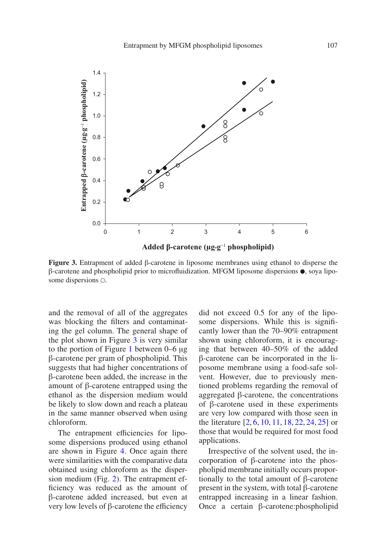<span id="page-8-0"></span>

**Figure 3.** Entrapment of added β-carotene in liposome membranes using ethanol to disperse the β-carotene and phospholipid prior to microfluidization. MFGM liposome dispersions  $\bullet$ , soya liposome dispersions  $\circ$ .

and the removal of all of the aggregates was blocking the filters and contaminating the gel column. The general shape of the plot shown in Figure [3](#page-8-0) is very similar to the portion of Figure [1](#page-6-1) between 0–6 μg β-carotene per gram of phospholipid. This suggests that had higher concentrations of β-carotene been added, the increase in the amount of β-carotene entrapped using the ethanol as the dispersion medium would be likely to slow down and reach a plateau in the same manner observed when using chloroform.

The entrapment efficiencies for liposome dispersions produced using ethanol are shown in Figure [4.](#page-9-0) Once again there were similarities with the comparative data obtained using chloroform as the dispersion medium (Fig. [2\)](#page-7-0). The entrapment efficiency was reduced as the amount of β-carotene added increased, but even at very low levels of β-carotene the efficiency did not exceed 0.5 for any of the liposome dispersions. While this is significantly lower than the 70–90% entrapment shown using chloroform, it is encouraging that between 40–50% of the added β-carotene can be incorporated in the liposome membrane using a food-safe solvent. However, due to previously mentioned problems regarding the removal of aggregated β-carotene, the concentrations of β-carotene used in these experiments are very low compared with those seen in the literature [\[2](#page-13-12), [6](#page-13-13), [10](#page-13-14), [11](#page-13-15), [18](#page-14-13), [22](#page-14-14), [24](#page-14-9), [25](#page-14-15)] or those that would be required for most food applications.

Irrespective of the solvent used, the incorporation of β-carotene into the phospholipid membrane initially occurs proportionally to the total amount of β-carotene present in the system, with total β-carotene entrapped increasing in a linear fashion. Once a certain β-carotene:phospholipid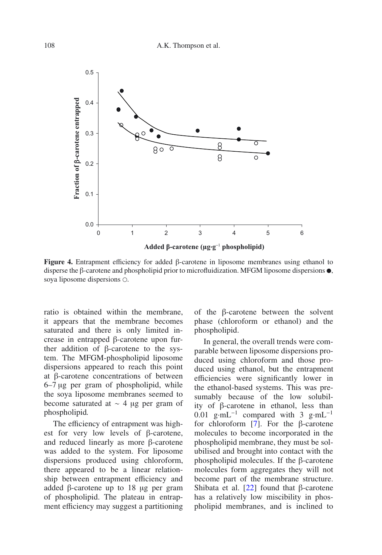<span id="page-9-0"></span>

**Figure 4.** Entrapment efficiency for added β-carotene in liposome membranes using ethanol to disperse the  $\beta$ -carotene and phospholipid prior to microfluidization. MFGM liposome dispersions  $\bullet$ , soya liposome dispersions  $\circ$ .

ratio is obtained within the membrane, it appears that the membrane becomes saturated and there is only limited increase in entrapped β-carotene upon further addition of β-carotene to the system. The MFGM-phospholipid liposome dispersions appeared to reach this point at β-carotene concentrations of between 6–7 μg per gram of phospholipid, while the soya liposome membranes seemed to become saturated at ∼ 4 μg per gram of phospholipid.

The efficiency of entrapment was highest for very low levels of β-carotene, and reduced linearly as more β-carotene was added to the system. For liposome dispersions produced using chloroform, there appeared to be a linear relationship between entrapment efficiency and added β-carotene up to 18 μg per gram of phospholipid. The plateau in entrapment efficiency may suggest a partitioning of the β-carotene between the solvent phase (chloroform or ethanol) and the phospholipid.

In general, the overall trends were comparable between liposome dispersions produced using chloroform and those produced using ethanol, but the entrapment efficiencies were significantly lower in the ethanol-based systems. This was presumably because of the low solubility of β-carotene in ethanol, less than 0.01 g·mL<sup>-1</sup> compared with 3 g·mL<sup>-1</sup> for chloroform [\[7](#page-13-16)]. For the β-carotene molecules to become incorporated in the phospholipid membrane, they must be solubilised and brought into contact with the phospholipid molecules. If the β-carotene molecules form aggregates they will not become part of the membrane structure. Shibata et al.  $[22]$  $[22]$  found that β-carotene has a relatively low miscibility in phospholipid membranes, and is inclined to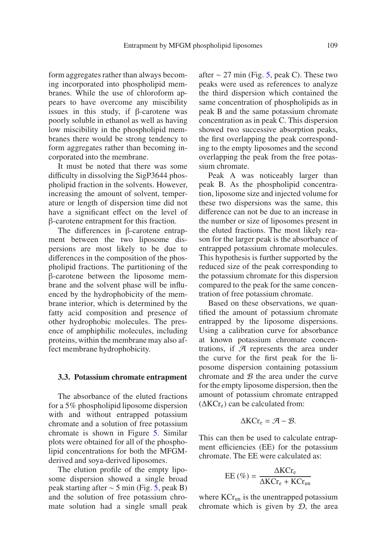form aggregates rather than always becoming incorporated into phospholipid membranes. While the use of chloroform appears to have overcome any miscibility issues in this study, if β-carotene was poorly soluble in ethanol as well as having low miscibility in the phospholipid membranes there would be strong tendency to form aggregates rather than becoming incorporated into the membrane.

It must be noted that there was some difficulty in dissolving the SigP3644 phospholipid fraction in the solvents. However, increasing the amount of solvent, temperature or length of dispersion time did not have a significant effect on the level of β-carotene entrapment for this fraction.

The differences in β-carotene entrapment between the two liposome dispersions are most likely to be due to differences in the composition of the phospholipid fractions. The partitioning of the β-carotene between the liposome membrane and the solvent phase will be influenced by the hydrophobicity of the membrane interior, which is determined by the fatty acid composition and presence of other hydrophobic molecules. The presence of amphiphilic molecules, including proteins, within the membrane may also affect membrane hydrophobicity.

#### **3.3. Potassium chromate entrapment**

The absorbance of the eluted fractions for a 5% phospholipid liposome dispersion with and without entrapped potassium chromate and a solution of free potassium chromate is shown in Figure [5.](#page-11-0) Similar plots were obtained for all of the phospholipid concentrations for both the MFGMderived and soya-derived liposomes.

The elution profile of the empty liposome dispersion showed a single broad peak starting after ∼ 5 min (Fig. [5,](#page-11-0) peak B) and the solution of free potassium chromate solution had a single small peak after  $\sim$  27 min (Fig. [5,](#page-11-0) peak C). These two peaks were used as references to analyze the third dispersion which contained the same concentration of phospholipids as in peak B and the same potassium chromate concentration as in peak C. This dispersion showed two successive absorption peaks, the first overlapping the peak corresponding to the empty liposomes and the second overlapping the peak from the free potassium chromate.

Peak A was noticeably larger than peak B. As the phospholipid concentration, liposome size and injected volume for these two dispersions was the same, this difference can not be due to an increase in the number or size of liposomes present in the eluted fractions. The most likely reason for the larger peak is the absorbance of entrapped potassium chromate molecules. This hypothesis is further supported by the reduced size of the peak corresponding to the potassium chromate for this dispersion compared to the peak for the same concentration of free potassium chromate.

Based on these observations, we quantified the amount of potassium chromate entrapped by the liposome dispersions. Using a calibration curve for absorbance at known potassium chromate concentrations, if  $A$  represents the area under the curve for the first peak for the liposome dispersion containing potassium chromate and  $B$  the area under the curve for the empty liposome dispersion, then the amount of potassium chromate entrapped  $(\Delta K C_{\text{re}})$  can be calculated from:

$$
\Delta K Cr_{e} = \mathcal{A} - \mathcal{B}.
$$

This can then be used to calculate entrapment efficiencies (EE) for the potassium chromate. The EE were calculated as:

$$
EE (\%) = \frac{\Delta K C r_e}{\Delta K C r_e + K C r_{un}}
$$

where  $KCr_{un}$  is the unentrapped potassium chromate which is given by  $D$ , the area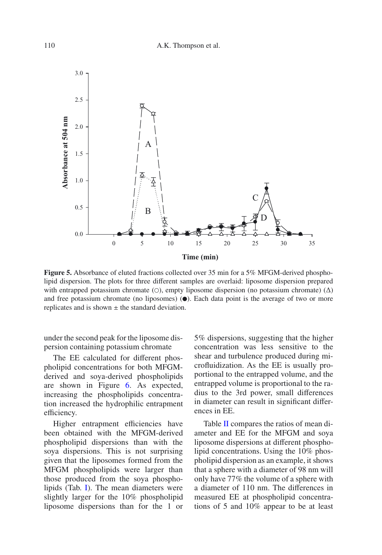<span id="page-11-0"></span>

**Figure 5.** Absorbance of eluted fractions collected over 35 min for a 5% MFGM-derived phospholipid dispersion. The plots for three different samples are overlaid: liposome dispersion prepared with entrapped potassium chromate ( $\odot$ ), empty liposome dispersion (no potassium chromate) ( $\Delta$ ) and free potassium chromate (no liposomes) ( $\bullet$ ). Each data point is the average of two or more replicates and is shown  $\pm$  the standard deviation.

under the second peak for the liposome dispersion containing potassium chromate

The EE calculated for different phospholipid concentrations for both MFGMderived and soya-derived phospholipids are shown in Figure [6.](#page-12-0) As expected, increasing the phospholipids concentration increased the hydrophilic entrapment efficiency.

Higher entrapment efficiencies have been obtained with the MFGM-derived phospholipid dispersions than with the soya dispersions. This is not surprising given that the liposomes formed from the MFGM phospholipids were larger than those produced from the soya phospholipids (Tab. [I\)](#page-6-0). The mean diameters were slightly larger for the 10% phospholipid liposome dispersions than for the 1 or 5% dispersions, suggesting that the higher concentration was less sensitive to the shear and turbulence produced during microfluidization. As the EE is usually proportional to the entrapped volume, and the entrapped volume is proportional to the radius to the 3rd power, small differences in diameter can result in significant differences in EE.

Table [II](#page-12-1) compares the ratios of mean diameter and EE for the MFGM and soya liposome dispersions at different phospholipid concentrations. Using the 10% phospholipid dispersion as an example, it shows that a sphere with a diameter of 98 nm will only have 77% the volume of a sphere with a diameter of 110 nm. The differences in measured EE at phospholipid concentrations of 5 and 10% appear to be at least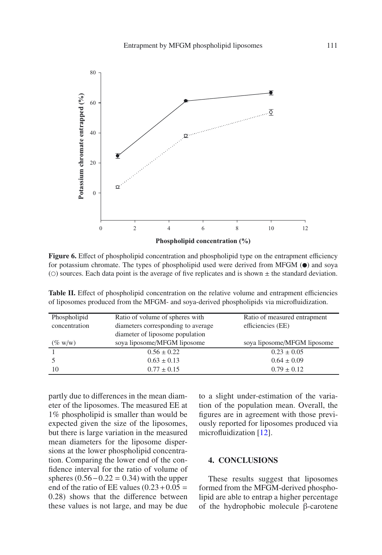<span id="page-12-0"></span>

<span id="page-12-1"></span>Figure 6. Effect of phospholipid concentration and phospholipid type on the entrapment efficiency for potassium chromate. The types of phospholipid used were derived from MFGM  $(\bullet)$  and soya ( $\circ$ ) sources. Each data point is the average of five replicates and is shown  $\pm$  the standard deviation.

**Table II.** Effect of phospholipid concentration on the relative volume and entrapment efficiencies of liposomes produced from the MFGM- and soya-derived phospholipids via microfluidization.

| Phospholipid  | Ratio of volume of spheres with    | Ratio of measured entrapment |
|---------------|------------------------------------|------------------------------|
| concentration | diameters corresponding to average | efficiencies (EE)            |
|               | diameter of liposome population    |                              |
| $(\% w/w)$    | soya liposome/MFGM liposome        | soya liposome/MFGM liposome  |
|               | $0.56 \pm 0.22$                    | $0.23 \pm 0.05$              |
|               | $0.63 \pm 0.13$                    | $0.64 \pm 0.09$              |
| 10            | $0.77 \pm 0.15$                    | $0.79 \pm 0.12$              |
|               |                                    |                              |

partly due to differences in the mean diameter of the liposomes. The measured EE at 1% phospholipid is smaller than would be expected given the size of the liposomes, but there is large variation in the measured mean diameters for the liposome dispersions at the lower phospholipid concentration. Comparing the lower end of the confidence interval for the ratio of volume of spheres  $(0.56 - 0.22 = 0.34)$  with the upper end of the ratio of EE values  $(0.23 + 0.05 =$ <sup>0</sup>.28) shows that the difference between these values is not large, and may be due to a slight under-estimation of the variation of the population mean. Overall, the figures are in agreement with those previously reported for liposomes produced via microfluidization [\[12](#page-13-9)].

#### **4. CONCLUSIONS**

These results suggest that liposomes formed from the MFGM-derived phospholipid are able to entrap a higher percentage of the hydrophobic molecule β-carotene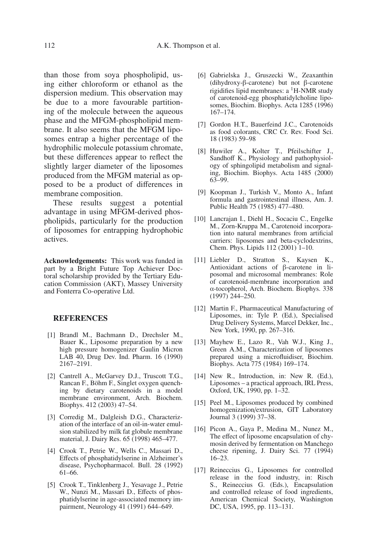than those from soya phospholipid, using either chloroform or ethanol as the dispersion medium. This observation may be due to a more favourable partitioning of the molecule between the aqueous phase and the MFGM-phospholipid membrane. It also seems that the MFGM liposomes entrap a higher percentage of the hydrophilic molecule potassium chromate, but these differences appear to reflect the slightly larger diameter of the liposomes produced from the MFGM material as opposed to be a product of differences in membrane composition.

These results suggest a potential advantage in using MFGM-derived phospholipids, particularly for the production of liposomes for entrapping hydrophobic actives.

**Acknowledgements:** This work was funded in part by a Bright Future Top Achiever Doctoral scholarship provided by the Tertiary Education Commission (AKT), Massey University and Fonterra Co-operative Ltd.

#### **REFERENCES**

- <span id="page-13-10"></span>[1] Brandl M., Bachmann D., Drechsler M., Bauer K., Liposome preparation by a new high pressure homogenizer Gaulin Micron LAB 40, Drug Dev. Ind. Pharm. 16 (1990) 2167–2191.
- <span id="page-13-12"></span>[2] Cantrell A., McGarvey D.J., Truscott T.G., Rancan F., Böhm F., Singlet oxygen quenching by dietary carotenoids in a model membrane environment, Arch. Biochem. Biophys. 412 (2003) 47–54.
- <span id="page-13-5"></span>[3] Corredig M., Dalgleish D.G., Characterization of the interface of an oil-in-water emulsion stabilized by milk fat globule membrane material, J. Dairy Res. 65 (1998) 465–477.
- <span id="page-13-0"></span>[4] Crook T., Petrie W., Wells C., Massari D., Effects of phosphatidylserine in Alzheimer's disease, Psychopharmacol. Bull. 28 (1992) 61–66.
- <span id="page-13-1"></span>[5] Crook T., Tinklenberg J., Yesavage J., Petrie W., Nunzi M., Massari D., Effects of phosphatidylserine in age-associated memory impairment, Neurology 41 (1991) 644–649.
- <span id="page-13-13"></span>[6] Gabrielska J., Gruszecki W., Zeaxanthin (dihydroxy-β-carotene) but not β-carotene rigidifies lipid membranes:  $a<sup>1</sup>H-NMR$  study of carotenoid-egg phosphatidylcholine liposomes, Biochim. Biophys. Acta 1285 (1996) 167–174.
- <span id="page-13-16"></span>[7] Gordon H.T., Bauerfeind J.C., Carotenoids as food colorants, CRC Cr. Rev. Food Sci. 18 (1983) 59–98
- <span id="page-13-2"></span>[8] Huwiler A., Kolter T., Pfeilschifter J., Sandhoff K., Physiology and pathophysiology of sphingolipid metabolism and signaling, Biochim. Biophys. Acta 1485 (2000) 63–99.
- <span id="page-13-3"></span>[9] Koopman J., Turkish V., Monto A., Infant formula and gastrointestinal illness, Am. J. Public Health 75 (1985) 477–480.
- <span id="page-13-14"></span>[10] Lancrajan I., Diehl H., Socaciu C., Engelke M., Zorn-Kruppa M., Carotenoid incorporation into natural membranes from artificial carriers: liposomes and beta-cyclodextrins, Chem. Phys. Lipids 112 (2001) 1–10.
- <span id="page-13-15"></span>[11] Liebler D., Stratton S., Kaysen K., Antioxidant actions of β-carotene in liposomal and microsomal membranes: Role of carotenoid-membrane incorporation and α-tocopherol, Arch. Biochem. Biophys. 338 (1997) 244–250.
- <span id="page-13-9"></span>[12] Martin F., Pharmaceutical Manufacturing of Liposomes, in: Tyle P. (Ed.), Specialised Drug Delivery Systems, Marcel Dekker, Inc., New York, 1990, pp. 267–316.
- <span id="page-13-11"></span>[13] Mayhew E., Lazo R., Vah W.J., King J., Green A.M., Characterization of liposomes prepared using a microfluidiser, Biochim. Biophys. Acta 775 (1984) 169–174.
- <span id="page-13-7"></span>[14] New R., Introduction, in: New R. (Ed.), Liposomes – a practical approach, IRL Press, Oxford, UK, 1990, pp. 1–32.
- <span id="page-13-4"></span>[15] Peel M., Liposomes produced by combined homogenization/extrusion, GIT Laboratory Journal 3 (1999) 37–38.
- <span id="page-13-8"></span>[16] Picon A., Gaya P., Medina M., Nunez M., The effect of liposome encapsulation of chymosin derived by fermentation on Manchego cheese ripening, J. Dairy Sci. 77 (1994) 16–23.
- <span id="page-13-6"></span>[17] Reineccius G., Liposomes for controlled release in the food industry, in: Risch S., Reineccius G. (Eds.), Encapsulation and controlled release of food ingredients, American Chemical Society, Washington DC, USA, 1995, pp. 113–131.